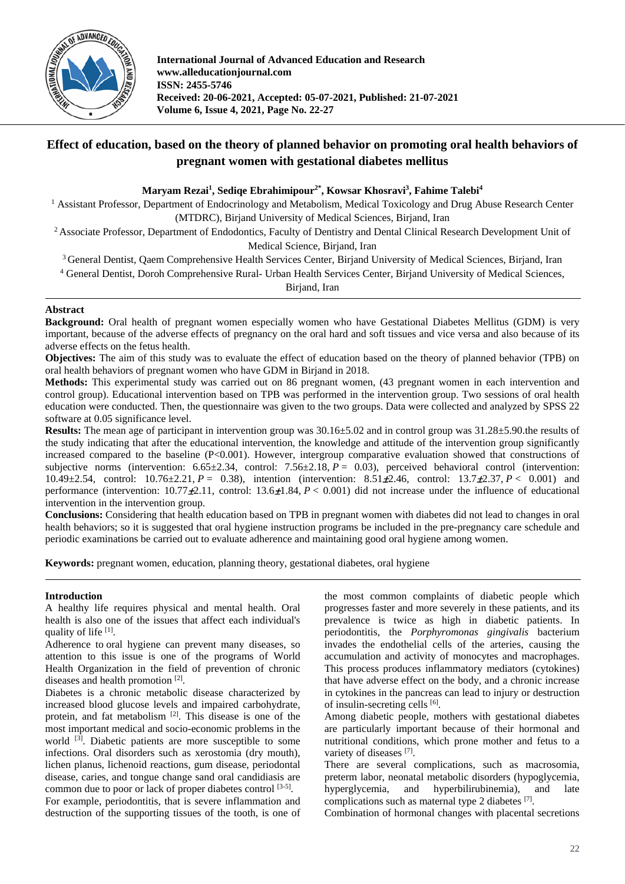

**International Journal of Advanced Education and Research www.alleducationjournal.com ISSN: 2455-5746 Received: 20-06-2021, Accepted: 05-07-2021, Published: 21-07-2021 Volume 6, Issue 4, 2021, Page No. 22-27**

# **Effect of education, based on the theory of planned behavior on promoting oral health behaviors of pregnant women with gestational diabetes mellitus**

## **Maryam Rezai1 , Sediqe Ebrahimipour2\* , Kowsar Khosravi3 , Fahime Talebi4**

<sup>1</sup> Assistant Professor, Department of Endocrinology and Metabolism, Medical Toxicology and Drug Abuse Research Center (MTDRC), Birjand University of Medical Sciences, Birjand, Iran

<sup>2</sup> Associate Professor, Department of Endodontics, Faculty of Dentistry and Dental Clinical Research Development Unit of Medical Science, Birjand, Iran

<sup>3</sup> General Dentist, Qaem Comprehensive Health Services Center, Birjand University of Medical Sciences, Birjand, Iran

<sup>4</sup> General Dentist, Doroh Comprehensive Rural- Urban Health Services Center, Birjand University of Medical Sciences,

Birjand, Iran

## **Abstract**

**Background:** Oral health of pregnant women especially women who have Gestational Diabetes Mellitus (GDM) is very important, because of the adverse effects of pregnancy on the oral hard and soft tissues and vice versa and also because of its adverse effects on the fetus health.

**Objectives:** The aim of this study was to evaluate the effect of education based on the theory of planned behavior (TPB) on oral health behaviors of pregnant women who have GDM in Birjand in 2018.

**Methods:** This experimental study was carried out on 86 pregnant women, (43 pregnant women in each intervention and control group). Educational intervention based on TPB was performed in the intervention group. Two sessions of oral health education were conducted. Then, the questionnaire was given to the two groups. Data were collected and analyzed by SPSS 22 software at 0.05 significance level.

**Results:** The mean age of participant in intervention group was 30.16±5.02 and in control group was 31.28±5.90.the results of the study indicating that after the educational intervention, the knowledge and attitude of the intervention group significantly increased compared to the baseline (P<0.001). However, intergroup comparative evaluation showed that constructions of subjective norms (intervention:  $6.65\pm2.34$ , control:  $7.56\pm2.18$ ,  $P = 0.03$ ), perceived behavioral control (intervention: 10.49 $\pm$ 2.54, control: 10.76 $\pm$ 2.21, *P* = 0.38), intention (intervention: 8.51 $\pm$ 2.46, control: 13.7 $\pm$ 2.37, *P* < 0.001) and performance (intervention:  $10.77 \pm 2.11$ , control:  $13.6 \pm 1.84$ ,  $P < 0.001$ ) did not increase under the influence of educational intervention in the intervention group.

**Conclusions:** Considering that health education based on TPB in pregnant women with diabetes did not lead to changes in oral health behaviors; so it is suggested that oral hygiene instruction programs be included in the pre-pregnancy care schedule and periodic examinations be carried out to evaluate adherence and maintaining good oral hygiene among women.

**Keywords:** pregnant women, education, planning theory, gestational diabetes, oral hygiene

## **Introduction**

A healthy life requires physical and mental health. Oral health is also one of the issues that affect each individual's quality of life [1].

Adherence to oral hygiene can prevent many diseases, so attention to this issue is one of the programs of World Health Organization in the field of prevention of chronic diseases and health promotion [2].

Diabetes is a chronic metabolic disease characterized by increased blood glucose levels and impaired carbohydrate, protein, and fat metabolism  $[2]$ . This disease is one of the most important medical and socio-economic problems in the world <sup>[3]</sup>. Diabetic patients are more susceptible to some infections. Oral disorders such as xerostomia (dry mouth), lichen planus, lichenoid reactions, gum disease, periodontal disease, caries, and tongue change sand oral candidiasis are common due to poor or lack of proper diabetes control  $[3-5]$ .

For example, periodontitis, that is severe inflammation and destruction of the supporting tissues of the tooth, is one of

the most common complaints of diabetic people which progresses faster and more severely in these patients, and its prevalence is twice as high in diabetic patients. In periodontitis, the *Porphyromonas gingivalis* bacterium invades the endothelial cells of the arteries, causing the accumulation and activity of monocytes and macrophages. This process produces inflammatory mediators (cytokines) that have adverse effect on the body, and a chronic increase in cytokines in the pancreas can lead to injury or destruction of insulin-secreting cells [6].

Among diabetic people, mothers with gestational diabetes are particularly important because of their hormonal and nutritional conditions, which prone mother and fetus to a variety of diseases [7].

There are several complications, such as macrosomia, preterm labor, neonatal metabolic disorders (hypoglycemia, hyperglycemia, and hyperbilirubinemia), and late complications such as maternal type 2 diabetes [7].

Combination of hormonal changes with placental secretions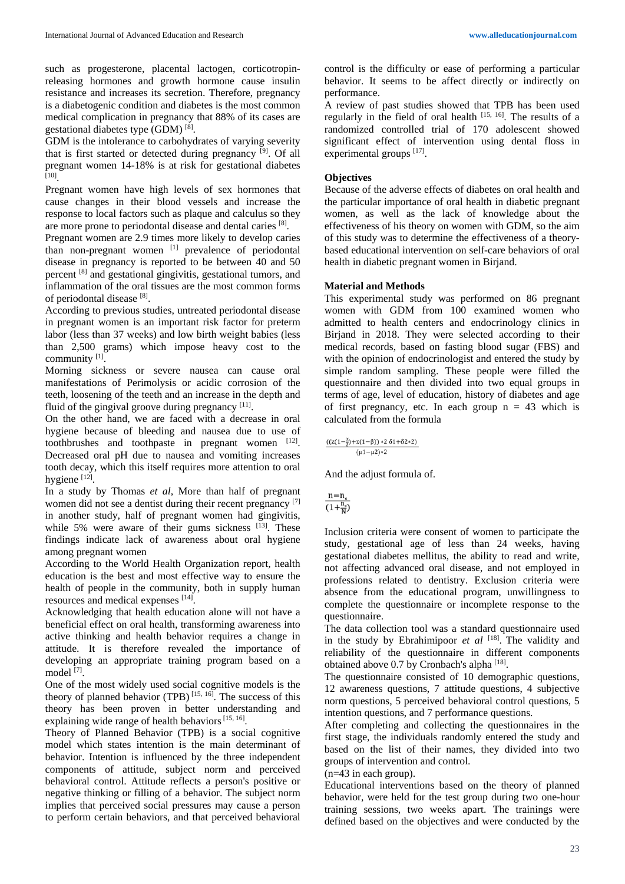such as progesterone, placental lactogen, corticotropinreleasing hormones and growth hormone cause insulin resistance and increases its secretion. Therefore, pregnancy is a diabetogenic condition and diabetes is the most common medical complication in pregnancy that 88% of its cases are gestational diabetes type (GDM) [8].

GDM is the intolerance to carbohydrates of varying severity that is first started or detected during pregnancy [9]. Of all pregnant women 14-18% is at risk for gestational diabetes [10] .

Pregnant women have high levels of sex hormones that cause changes in their blood vessels and increase the response to local factors such as plaque and calculus so they are more prone to periodontal disease and dental caries [8].

Pregnant women are 2.9 times more likely to develop caries than non-pregnant women  $\begin{bmatrix} 1 \end{bmatrix}$  prevalence of periodontal disease in pregnancy is reported to be between 40 and 50 percent [8] and gestational gingivitis, gestational tumors, and inflammation of the oral tissues are the most common forms of periodontal disease [8].

According to previous studies, untreated periodontal disease in pregnant women is an important risk factor for preterm labor (less than 37 weeks) and low birth weight babies (less than 2,500 grams) which impose heavy cost to the community [1].

Morning sickness or severe nausea can cause oral manifestations of Perimolysis or acidic corrosion of the teeth, loosening of the teeth and an increase in the depth and fluid of the gingival groove during pregnancy [11].

On the other hand, we are faced with a decrease in oral hygiene because of bleeding and nausea due to use of toothbrushes and toothpaste in pregnant women  $[12]$ . Decreased oral pH due to nausea and vomiting increases tooth decay, which this itself requires more attention to oral hygiene [12].

In a study by Thomas *et al*, More than half of pregnant women did not see a dentist during their recent pregnancy [7] in another study, half of pregnant women had gingivitis, while 5% were aware of their gums sickness  $[13]$ . These findings indicate lack of awareness about oral hygiene among pregnant women

According to the World Health Organization report, health education is the best and most effective way to ensure the health of people in the community, both in supply human resources and medical expenses [14].

Acknowledging that health education alone will not have a beneficial effect on oral health, transforming awareness into active thinking and health behavior requires a change in attitude. It is therefore revealed the importance of developing an appropriate training program based on a model<sup>[7]</sup>.

One of the most widely used social cognitive models is the theory of planned behavior (TPB)  $[15, 16]$ . The success of this theory has been proven in better understanding and explaining wide range of health behaviors<sup>[15, 16]</sup>.

Theory of Planned Behavior (TPB) is a social cognitive model which states intention is the main determinant of behavior. Intention is influenced by the three independent components of attitude, subject norm and perceived behavioral control. Attitude reflects a person's positive or negative thinking or filling of a behavior. The subject norm implies that perceived social pressures may cause a person to perform certain behaviors, and that perceived behavioral control is the difficulty or ease of performing a particular behavior. It seems to be affect directly or indirectly on performance.

A review of past studies showed that TPB has been used regularly in the field of oral health  $[15, 16]$ . The results of a randomized controlled trial of 170 adolescent showed significant effect of intervention using dental floss in experimental groups [17].

#### **Objectives**

Because of the adverse effects of diabetes on oral health and the particular importance of oral health in diabetic pregnant women, as well as the lack of knowledge about the effectiveness of his theory on women with GDM, so the aim of this study was to determine the effectiveness of a theorybased educational intervention on self-care behaviors of oral health in diabetic pregnant women in Birjand.

#### **Material and Methods**

This experimental study was performed on 86 pregnant women with GDM from 100 examined women who admitted to health centers and endocrinology clinics in Birjand in 2018. They were selected according to their medical records, based on fasting blood sugar (FBS) and with the opinion of endocrinologist and entered the study by simple random sampling. These people were filled the questionnaire and then divided into two equal groups in terms of age, level of education, history of diabetes and age of first pregnancy, etc. In each group  $n = 43$  which is calculated from the formula

| $((z(1-\frac{\alpha}{2})+z(1-\beta)) *2 \delta1+\delta2*2)$ |  |  |  |  |  |
|-------------------------------------------------------------|--|--|--|--|--|
| $(\mu1-\mu2)*2$                                             |  |  |  |  |  |

And the adjust formula of.

 $n = n$  $\overline{(1+\frac{n}{N})}$ 

Inclusion criteria were consent of women to participate the study, gestational age of less than 24 weeks, having gestational diabetes mellitus, the ability to read and write, not affecting advanced oral disease, and not employed in professions related to dentistry. Exclusion criteria were absence from the educational program, unwillingness to complete the questionnaire or incomplete response to the questionnaire.

The data collection tool was a standard questionnaire used in the study by Ebrahimipoor et al <sup>[18]</sup>. The validity and reliability of the questionnaire in different components obtained above 0.7 by Cronbach's alpha [18].

The questionnaire consisted of 10 demographic questions, 12 awareness questions, 7 attitude questions, 4 subjective norm questions, 5 perceived behavioral control questions, 5 intention questions, and 7 performance questions.

After completing and collecting the questionnaires in the first stage, the individuals randomly entered the study and based on the list of their names, they divided into two groups of intervention and control.

#### (n=43 in each group).

Educational interventions based on the theory of planned behavior, were held for the test group during two one-hour training sessions, two weeks apart. The trainings were defined based on the objectives and were conducted by the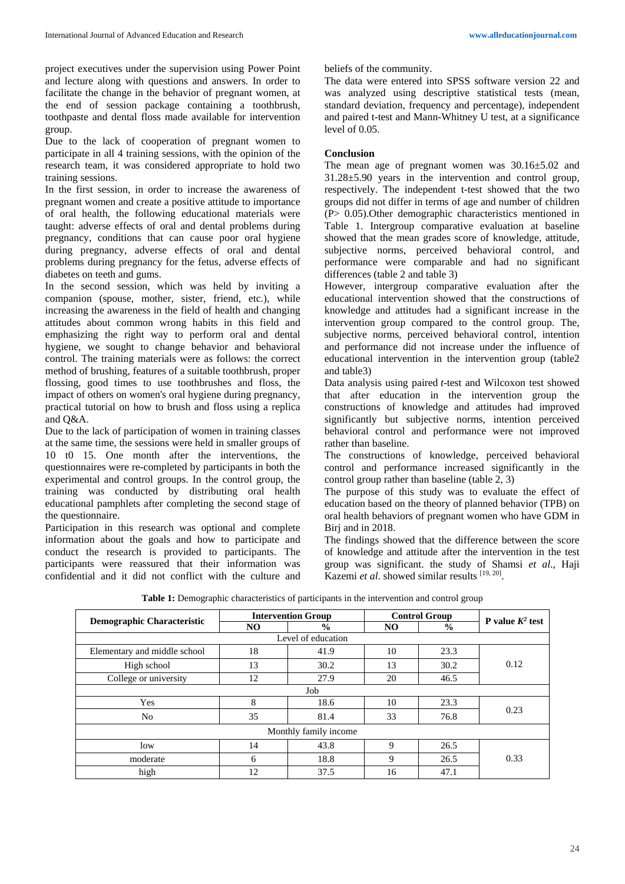project executives under the supervision using Power Point and lecture along with questions and answers. In order to facilitate the change in the behavior of pregnant women, at the end of session package containing a toothbrush, toothpaste and dental floss made available for intervention group.

Due to the lack of cooperation of pregnant women to participate in all 4 training sessions, with the opinion of the research team, it was considered appropriate to hold two training sessions.

In the first session, in order to increase the awareness of pregnant women and create a positive attitude to importance of oral health, the following educational materials were taught: adverse effects of oral and dental problems during pregnancy, conditions that can cause poor oral hygiene during pregnancy, adverse effects of oral and dental problems during pregnancy for the fetus, adverse effects of diabetes on teeth and gums.

In the second session, which was held by inviting a companion (spouse, mother, sister, friend, etc.), while increasing the awareness in the field of health and changing attitudes about common wrong habits in this field and emphasizing the right way to perform oral and dental hygiene, we sought to change behavior and behavioral control. The training materials were as follows: the correct method of brushing, features of a suitable toothbrush, proper flossing, good times to use toothbrushes and floss, the impact of others on women's oral hygiene during pregnancy, practical tutorial on how to brush and floss using a replica and Q&A.

Due to the lack of participation of women in training classes at the same time, the sessions were held in smaller groups of 10 t0 15. One month after the interventions, the questionnaires were re-completed by participants in both the experimental and control groups. In the control group, the training was conducted by distributing oral health educational pamphlets after completing the second stage of the questionnaire.

Participation in this research was optional and complete information about the goals and how to participate and conduct the research is provided to participants. The participants were reassured that their information was confidential and it did not conflict with the culture and beliefs of the community.

The data were entered into SPSS software version 22 and was analyzed using descriptive statistical tests (mean, standard deviation, frequency and percentage), independent and paired t-test and Mann-Whitney U test, at a significance level of 0.05.

## **Conclusion**

The mean age of pregnant women was 30.16±5.02 and 31.28±5.90 years in the intervention and control group, respectively. The independent t-test showed that the two groups did not differ in terms of age and number of children (P> 0.05).Other demographic characteristics mentioned in Table 1. Intergroup comparative evaluation at baseline showed that the mean grades score of knowledge, attitude, subjective norms, perceived behavioral control, and performance were comparable and had no significant differences (table 2 and table 3)

However, intergroup comparative evaluation after the educational intervention showed that the constructions of knowledge and attitudes had a significant increase in the intervention group compared to the control group. The, subjective norms, perceived behavioral control, intention and performance did not increase under the influence of educational intervention in the intervention group (table2 and table3)

Data analysis using paired *t*-test and Wilcoxon test showed that after education in the intervention group the constructions of knowledge and attitudes had improved significantly but subjective norms, intention perceived behavioral control and performance were not improved rather than baseline.

The constructions of knowledge, perceived behavioral control and performance increased significantly in the control group rather than baseline (table 2, 3)

The purpose of this study was to evaluate the effect of education based on the theory of planned behavior (TPB) on oral health behaviors of pregnant women who have GDM in Birj and in 2018.

The findings showed that the difference between the score of knowledge and attitude after the intervention in the test group was significant. the study of Shamsi *et al*., Haji Kazemi et al. showed similar results [19, 20].

| <b>Demographic Characteristic</b> | <b>Intervention Group</b> |               | <b>Control Group</b> |               |                           |  |  |  |
|-----------------------------------|---------------------------|---------------|----------------------|---------------|---------------------------|--|--|--|
|                                   | NO.                       | $\frac{0}{0}$ | NO.                  | $\frac{0}{0}$ | <b>P</b> value $K^2$ test |  |  |  |
| Level of education                |                           |               |                      |               |                           |  |  |  |
| Elementary and middle school      | 18                        | 41.9          | 10                   | 23.3          | 0.12                      |  |  |  |
| High school                       | 13                        | 30.2          | 13                   | 30.2          |                           |  |  |  |
| College or university             | 12                        | 27.9          | 20                   | 46.5          |                           |  |  |  |
| Job                               |                           |               |                      |               |                           |  |  |  |
| Yes                               | 8                         | 18.6          | 10                   | 23.3          | 0.23                      |  |  |  |
| N <sub>o</sub>                    | 35                        | 81.4          | 33                   | 76.8          |                           |  |  |  |
| Monthly family income             |                           |               |                      |               |                           |  |  |  |
| low                               | 14                        | 43.8          | 9                    | 26.5          |                           |  |  |  |
| moderate                          | 6                         | 18.8          | 9                    | 26.5          | 0.33                      |  |  |  |
| high                              | 12                        | 37.5          | 16                   | 47.1          |                           |  |  |  |

**Table 1:** Demographic characteristics of participants in the intervention and control group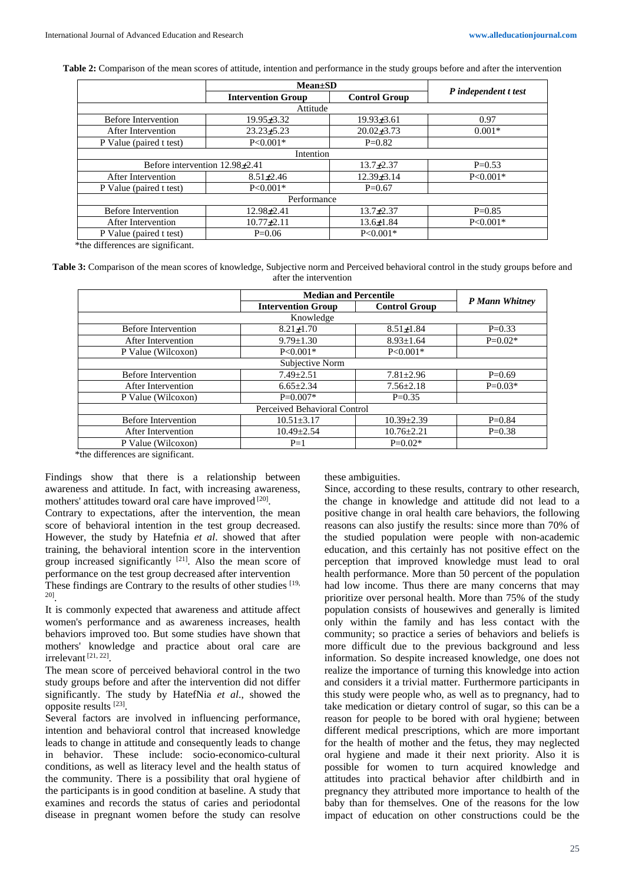**Table 2:** Comparison of the mean scores of attitude, intention and performance in the study groups before and after the intervention

| <b>Intervention Group</b>          | <b>Control Group</b>      | P independent t test           |  |  |  |  |  |
|------------------------------------|---------------------------|--------------------------------|--|--|--|--|--|
| Attitude                           |                           |                                |  |  |  |  |  |
| $19.95 \pm 3.32$                   | $19.93 \pm 3.61$          | 0.97                           |  |  |  |  |  |
| $23.23 + 5.23$                     | $20.02\pm3.73$            | $0.001*$                       |  |  |  |  |  |
| $P < 0.001*$                       | $P=0.82$                  |                                |  |  |  |  |  |
| Intention                          |                           |                                |  |  |  |  |  |
| Before intervention $12.98\pm2.41$ |                           | $P=0.53$                       |  |  |  |  |  |
| $8.51 \pm 2.46$                    | $12.39\pm 3.14$           | $P < 0.001*$                   |  |  |  |  |  |
| $P < 0.001*$                       | $P=0.67$                  |                                |  |  |  |  |  |
| Performance                        |                           |                                |  |  |  |  |  |
| $12.98 \pm 2.41$                   | $13.7 + 2.37$<br>$P=0.85$ |                                |  |  |  |  |  |
| $10.77 \pm 2.11$                   | $13.6 \pm 1.84$           | $P<0.001*$                     |  |  |  |  |  |
| $P=0.06$                           | $P<0.001*$                |                                |  |  |  |  |  |
|                                    |                           | $Mean \pm SD$<br>$13.7 + 2.37$ |  |  |  |  |  |

\*the differences are significant.

**Table 3:** Comparison of the mean scores of knowledge, Subjective norm and Perceived behavioral control in the study groups before and after the intervention

|                              | <b>Median and Percentile</b> |                      |                |  |  |  |  |  |
|------------------------------|------------------------------|----------------------|----------------|--|--|--|--|--|
|                              | <b>Intervention Group</b>    | <b>Control Group</b> | P Mann Whitney |  |  |  |  |  |
| Knowledge                    |                              |                      |                |  |  |  |  |  |
| <b>Before Intervention</b>   | $8.21 \pm 1.70$              | $8.51 \pm 1.84$      | $P=0.33$       |  |  |  |  |  |
| After Intervention           | $9.79 \pm 1.30$              | $8.93 \pm 1.64$      | $P=0.02*$      |  |  |  |  |  |
| P Value (Wilcoxon)           | $P < 0.001*$                 | $P < 0.001*$         |                |  |  |  |  |  |
| Subjective Norm              |                              |                      |                |  |  |  |  |  |
| Before Intervention          | $7.49 \pm 2.51$              | $7.81 \pm 2.96$      | $P=0.69$       |  |  |  |  |  |
| After Intervention           | $6.65 \pm 2.34$              | $7.56 \pm 2.18$      | $P=0.03*$      |  |  |  |  |  |
| P Value (Wilcoxon)           | $P=0.007*$                   | $P=0.35$             |                |  |  |  |  |  |
| Perceived Behavioral Control |                              |                      |                |  |  |  |  |  |
| <b>Before Intervention</b>   | $10.51 \pm 3.17$             | $10.39 \pm 2.39$     | $P=0.84$       |  |  |  |  |  |
| After Intervention           | $10.49 \pm 2.54$             | $10.76 \pm 2.21$     | $P=0.38$       |  |  |  |  |  |
| P Value (Wilcoxon)           | $P=1$                        | $P=0.02*$            |                |  |  |  |  |  |

\*the differences are significant.

Findings show that there is a relationship between awareness and attitude. In fact, with increasing awareness, mothers' attitudes toward oral care have improved [20].

Contrary to expectations, after the intervention, the mean score of behavioral intention in the test group decreased. However, the study by Hatefnia *et al*. showed that after training, the behavioral intention score in the intervention group increased significantly  $[21]$ . Also the mean score of performance on the test group decreased after intervention These findings are Contrary to the results of other studies [19, 20] .

It is commonly expected that awareness and attitude affect women's performance and as awareness increases, health behaviors improved too. But some studies have shown that mothers' knowledge and practice about oral care are irrelevant [21, 22].

The mean score of perceived behavioral control in the two study groups before and after the intervention did not differ significantly. The study by HatefNia *et al*., showed the opposite results [23].

Several factors are involved in influencing performance, intention and behavioral control that increased knowledge leads to change in attitude and consequently leads to change in behavior. These include: socio-economico-cultural conditions, as well as literacy level and the health status of the community. There is a possibility that oral hygiene of the participants is in good condition at baseline. A study that examines and records the status of caries and periodontal disease in pregnant women before the study can resolve these ambiguities.

Since, according to these results, contrary to other research, the change in knowledge and attitude did not lead to a positive change in oral health care behaviors, the following reasons can also justify the results: since more than 70% of the studied population were people with non-academic education, and this certainly has not positive effect on the perception that improved knowledge must lead to oral health performance. More than 50 percent of the population had low income. Thus there are many concerns that may prioritize over personal health. More than 75% of the study population consists of housewives and generally is limited only within the family and has less contact with the community; so practice a series of behaviors and beliefs is more difficult due to the previous background and less information. So despite increased knowledge, one does not realize the importance of turning this knowledge into action and considers it a trivial matter. Furthermore participants in this study were people who, as well as to pregnancy, had to take medication or dietary control of sugar, so this can be a reason for people to be bored with oral hygiene; between different medical prescriptions, which are more important for the health of mother and the fetus, they may neglected oral hygiene and made it their next priority. Also it is possible for women to turn acquired knowledge and attitudes into practical behavior after childbirth and in pregnancy they attributed more importance to health of the baby than for themselves. One of the reasons for the low impact of education on other constructions could be the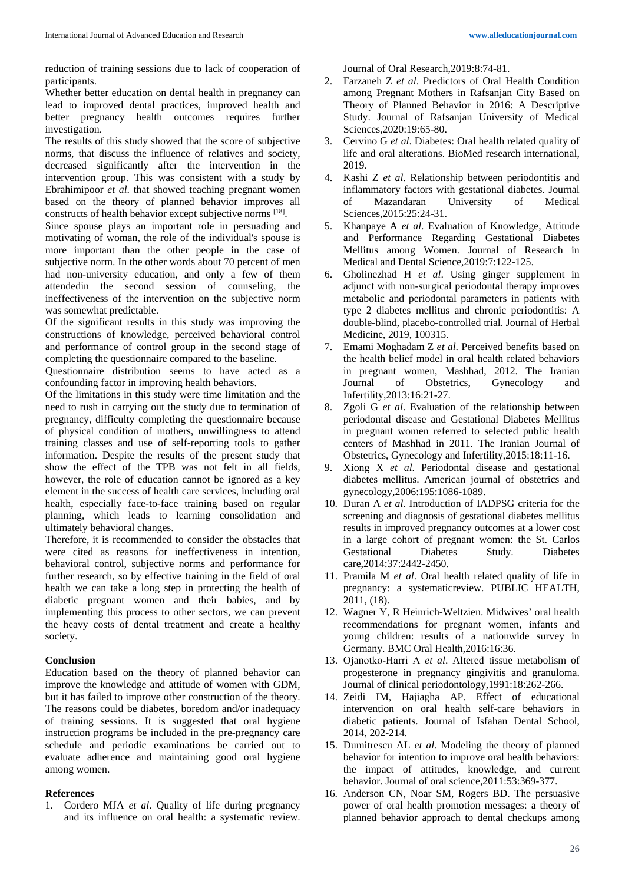reduction of training sessions due to lack of cooperation of participants.

Whether better education on dental health in pregnancy can lead to improved dental practices, improved health and better pregnancy health outcomes requires further investigation.

The results of this study showed that the score of subjective norms, that discuss the influence of relatives and society, decreased significantly after the intervention in the intervention group. This was consistent with a study by Ebrahimipoor *et al*. that showed teaching pregnant women based on the theory of planned behavior improves all constructs of health behavior except subjective norms [18].

Since spouse plays an important role in persuading and motivating of woman, the role of the individual's spouse is more important than the other people in the case of subjective norm. In the other words about 70 percent of men had non-university education, and only a few of them attendedin the second session of counseling, the ineffectiveness of the intervention on the subjective norm was somewhat predictable.

Of the significant results in this study was improving the constructions of knowledge, perceived behavioral control and performance of control group in the second stage of completing the questionnaire compared to the baseline.

Questionnaire distribution seems to have acted as a confounding factor in improving health behaviors.

Of the limitations in this study were time limitation and the need to rush in carrying out the study due to termination of pregnancy, difficulty completing the questionnaire because of physical condition of mothers, unwillingness to attend training classes and use of self-reporting tools to gather information. Despite the results of the present study that show the effect of the TPB was not felt in all fields, however, the role of education cannot be ignored as a key element in the success of health care services, including oral health, especially face-to-face training based on regular planning, which leads to learning consolidation and ultimately behavioral changes.

Therefore, it is recommended to consider the obstacles that were cited as reasons for ineffectiveness in intention, behavioral control, subjective norms and performance for further research, so by effective training in the field of oral health we can take a long step in protecting the health of diabetic pregnant women and their babies, and by implementing this process to other sectors, we can prevent the heavy costs of dental treatment and create a healthy society.

## **Conclusion**

Education based on the theory of planned behavior can improve the knowledge and attitude of women with GDM, but it has failed to improve other construction of the theory. The reasons could be diabetes, boredom and/or inadequacy of training sessions. It is suggested that oral hygiene instruction programs be included in the pre-pregnancy care schedule and periodic examinations be carried out to evaluate adherence and maintaining good oral hygiene among women.

## **References**

1. Cordero MJA *et al*. Quality of life during pregnancy and its influence on oral health: a systematic review. Journal of Oral Research,2019:8:74-81.

- 2. Farzaneh Z *et al*. Predictors of Oral Health Condition among Pregnant Mothers in Rafsanjan City Based on Theory of Planned Behavior in 2016: A Descriptive Study. Journal of Rafsanjan University of Medical Sciences,2020:19:65-80.
- 3. Cervino G *et al*. Diabetes: Oral health related quality of life and oral alterations. BioMed research international, 2019.
- 4. Kashi Z *et al*. Relationship between periodontitis and inflammatory factors with gestational diabetes. Journal<br>of Mazandaran University of Medical of Mazandaran University of Medical Sciences,2015:25:24-31.
- 5. Khanpaye A *et al*. Evaluation of Knowledge, Attitude and Performance Regarding Gestational Diabetes Mellitus among Women. Journal of Research in Medical and Dental Science,2019:7:122-125.
- 6. Gholinezhad H *et al*. Using ginger supplement in adjunct with non-surgical periodontal therapy improves metabolic and periodontal parameters in patients with type 2 diabetes mellitus and chronic periodontitis: A double-blind, placebo-controlled trial. Journal of Herbal Medicine, 2019, 100315.
- 7. Emami Moghadam Z *et al*. Perceived benefits based on the health belief model in oral health related behaviors in pregnant women, Mashhad, 2012. The Iranian Journal of Obstetrics, Gynecology and Infertility,2013:16:21-27.
- 8. Zgoli G *et al*. Evaluation of the relationship between periodontal disease and Gestational Diabetes Mellitus in pregnant women referred to selected public health centers of Mashhad in 2011. The Iranian Journal of Obstetrics, Gynecology and Infertility,2015:18:11-16.
- 9. Xiong X *et al*. Periodontal disease and gestational diabetes mellitus. American journal of obstetrics and gynecology,2006:195:1086-1089.
- 10. Duran A *et al*. Introduction of IADPSG criteria for the screening and diagnosis of gestational diabetes mellitus results in improved pregnancy outcomes at a lower cost in a large cohort of pregnant women: the St. Carlos Gestational Diabetes Study. Diabetes care,2014:37:2442-2450.
- 11. Pramila M *et al*. Oral health related quality of life in pregnancy: a systematicreview. PUBLIC HEALTH, 2011, (18).
- 12. Wagner Y, R Heinrich-Weltzien. Midwives' oral health recommendations for pregnant women, infants and young children: results of a nationwide survey in Germany. BMC Oral Health,2016:16:36.
- 13. Ojanotko‐Harri A *et al*. Altered tissue metabolism of progesterone in pregnancy gingivitis and granuloma. Journal of clinical periodontology,1991:18:262-266.
- 14. Zeidi IM, Hajiagha AP. Effect of educational intervention on oral health self-care behaviors in diabetic patients. Journal of Isfahan Dental School, 2014, 202-214.
- 15. Dumitrescu AL *et al*. Modeling the theory of planned behavior for intention to improve oral health behaviors: the impact of attitudes, knowledge, and current behavior. Journal of oral science,2011:53:369-377.
- 16. Anderson CN, Noar SM, Rogers BD. The persuasive power of oral health promotion messages: a theory of planned behavior approach to dental checkups among